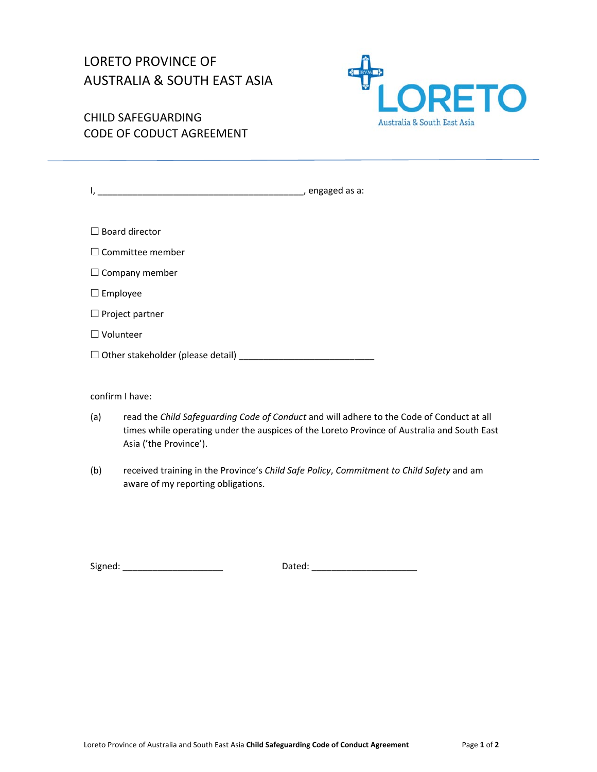## LORETO PROVINCE OF AUSTRALIA & SOUTH EAST ASIA



CHILD SAFEGUARDING CODE OF CODUCT AGREEMENT

| <u> 1980 - John Stein, Amerikaansk politiker (</u> | , engaged as a: |
|----------------------------------------------------|-----------------|
|                                                    |                 |
| $\Box$ Board director                              |                 |
| $\Box$ Committee member                            |                 |
| $\Box$ Company member                              |                 |
| $\Box$ Employee                                    |                 |
| $\Box$ Project partner                             |                 |
| $\Box$ Volunteer                                   |                 |
| $\Box$ Other stakeholder (please detail) $\Box$    |                 |
|                                                    |                 |

confirm I have:

- (a) read the *Child Safeguarding Code of Conduct* and will adhere to the Code of Conduct at all times while operating under the auspices of the Loreto Province of Australia and South East Asia ('the Province').
- (b) received training in the Province's *Child Safe Policy*, *Commitment to Child Safety* and am aware of my reporting obligations.

Signed: \_\_\_\_\_\_\_\_\_\_\_\_\_\_\_\_\_\_\_\_ Dated: \_\_\_\_\_\_\_\_\_\_\_\_\_\_\_\_\_\_\_\_\_